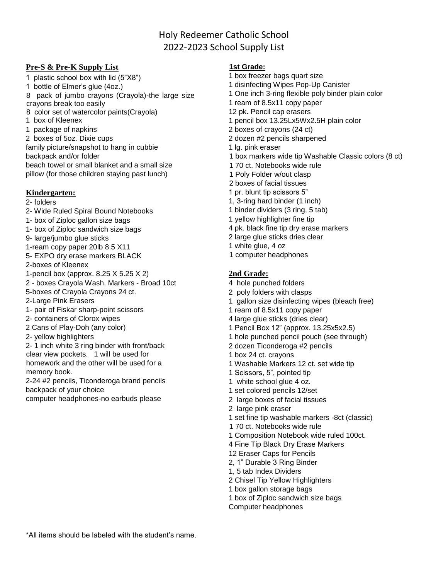# Holy Redeemer Catholic School 2022-2023 School Supply List

## **Pre-S & Pre-K Supply List**

1 plastic school box with lid (5"X8") 1 bottle of Elmer's glue (4oz.) 8 pack of jumbo crayons (Crayola)-the large size crayons break too easily 8 color set of watercolor paints(Crayola) 1 box of Kleenex 1 package of napkins 2 boxes of 5oz. Dixie cups family picture/snapshot to hang in cubbie backpack and/or folder beach towel or small blanket and a small size pillow (for those children staying past lunch)

## **Kindergarten:**

- 2- folders
- 2- Wide Ruled Spiral Bound Notebooks
- 1- box of Ziploc gallon size bags
- 1- box of Ziploc sandwich size bags
- 9- large/jumbo glue sticks
- 1-ream copy paper 20lb 8.5 X11
- 5- EXPO dry erase markers BLACK
- 2-boxes of Kleenex
- 1-pencil box (approx. 8.25 X 5.25 X 2)
- 2 boxes Crayola Wash. Markers Broad 10ct 5-boxes of Crayola Crayons 24 ct.
- 2-Large Pink Erasers
- 1- pair of Fiskar sharp-point scissors
- 2- containers of Clorox wipes
- 2 Cans of Play-Doh (any color)
- 2- yellow highlighters
- 2- 1 inch white 3 ring binder with front/back clear view pockets. 1 will be used for homework and the other will be used for a memory book.
- 2-24 #2 pencils, Ticonderoga brand pencils backpack of your choice
- computer headphones-no earbuds please

## **1st Grade:**

- 1 box freezer bags quart size 1 disinfecting Wipes Pop-Up Canister 1 One inch 3-ring flexible poly binder plain color 1 ream of 8.5x11 copy paper 12 pk. Pencil cap erasers 1 pencil box 13.25Lx5Wx2.5H plain color 2 boxes of crayons (24 ct) 2 dozen #2 pencils sharpened 1 lg. pink eraser 1 box markers wide tip Washable Classic colors (8 ct) 1 70 ct. Notebooks wide rule 1 Poly Folder w/out clasp 2 boxes of facial tissues 1 pr. blunt tip scissors 5" 1, 3-ring hard binder (1 inch) 1 binder dividers (3 ring, 5 tab) 1 yellow highlighter fine tip 4 pk. black fine tip dry erase markers 2 large glue sticks dries clear 1 white glue, 4 oz
- 1 computer headphones

## **2nd Grade:**

- 4 hole punched folders
- 2 poly folders with clasps
- 1 gallon size disinfecting wipes (bleach free)
- 1 ream of 8.5x11 copy paper
- 4 large glue sticks (dries clear)
- 1 Pencil Box 12" (approx. 13.25x5x2.5)
- 1 hole punched pencil pouch (see through)
- 2 dozen Ticonderoga #2 pencils
- 1 box 24 ct. crayons
- 1 Washable Markers 12 ct. set wide tip
- 1 Scissors, 5", pointed tip
- 1 white school glue 4 oz.
- 1 set colored pencils 12/set
- 2 large boxes of facial tissues
- 2 large pink eraser
- 1 set fine tip washable markers -8ct (classic)
- 1 70 ct. Notebooks wide rule
- 1 Composition Notebook wide ruled 100ct.
- 4 Fine Tip Black Dry Erase Markers
- 12 Eraser Caps for Pencils
- 2, 1" Durable 3 Ring Binder
- 1, 5 tab Index Dividers
- 2 Chisel Tip Yellow Highlighters
- 1 box gallon storage bags
- 1 box of Ziploc sandwich size bags
- Computer headphones